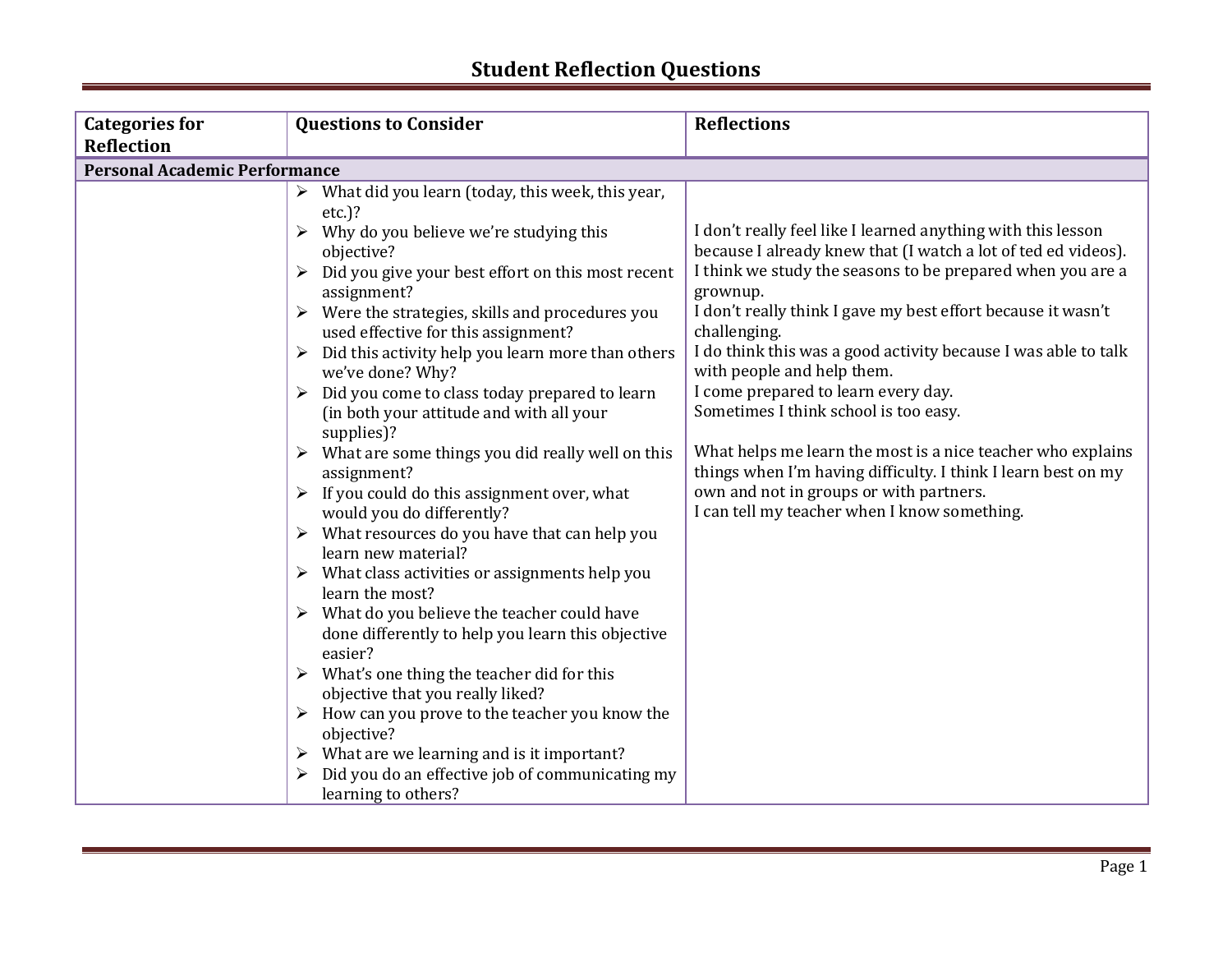| <b>Categories for</b>                | <b>Questions to Consider</b>                                                                                                                                                                                                                                                                                                                                                                                                                                                                                                                                                                                                                                                                                                                                                                                                                                                                                                                                                                                                                                                                                                                                                     | <b>Reflections</b>                                                                                                                                                                                                                                                                                                                                                                                                                                                                                                                                                                                                                                                                                 |
|--------------------------------------|----------------------------------------------------------------------------------------------------------------------------------------------------------------------------------------------------------------------------------------------------------------------------------------------------------------------------------------------------------------------------------------------------------------------------------------------------------------------------------------------------------------------------------------------------------------------------------------------------------------------------------------------------------------------------------------------------------------------------------------------------------------------------------------------------------------------------------------------------------------------------------------------------------------------------------------------------------------------------------------------------------------------------------------------------------------------------------------------------------------------------------------------------------------------------------|----------------------------------------------------------------------------------------------------------------------------------------------------------------------------------------------------------------------------------------------------------------------------------------------------------------------------------------------------------------------------------------------------------------------------------------------------------------------------------------------------------------------------------------------------------------------------------------------------------------------------------------------------------------------------------------------------|
| <b>Reflection</b>                    |                                                                                                                                                                                                                                                                                                                                                                                                                                                                                                                                                                                                                                                                                                                                                                                                                                                                                                                                                                                                                                                                                                                                                                                  |                                                                                                                                                                                                                                                                                                                                                                                                                                                                                                                                                                                                                                                                                                    |
| <b>Personal Academic Performance</b> |                                                                                                                                                                                                                                                                                                                                                                                                                                                                                                                                                                                                                                                                                                                                                                                                                                                                                                                                                                                                                                                                                                                                                                                  |                                                                                                                                                                                                                                                                                                                                                                                                                                                                                                                                                                                                                                                                                                    |
|                                      | What did you learn (today, this week, this year,<br>$etc.$ )?<br>Why do you believe we're studying this<br>objective?<br>Did you give your best effort on this most recent<br>assignment?<br>$\triangleright$ Were the strategies, skills and procedures you<br>used effective for this assignment?<br>Did this activity help you learn more than others<br>we've done? Why?<br>Did you come to class today prepared to learn<br>(in both your attitude and with all your<br>supplies)?<br>$\triangleright$ What are some things you did really well on this<br>assignment?<br>If you could do this assignment over, what<br>would you do differently?<br>$\triangleright$ What resources do you have that can help you<br>learn new material?<br>$\triangleright$ What class activities or assignments help you<br>learn the most?<br>$\triangleright$ What do you believe the teacher could have<br>done differently to help you learn this objective<br>easier?<br>$\triangleright$ What's one thing the teacher did for this<br>objective that you really liked?<br>How can you prove to the teacher you know the<br>objective?<br>What are we learning and is it important? | I don't really feel like I learned anything with this lesson<br>because I already knew that (I watch a lot of ted ed videos).<br>I think we study the seasons to be prepared when you are a<br>grownup.<br>I don't really think I gave my best effort because it wasn't<br>challenging.<br>I do think this was a good activity because I was able to talk<br>with people and help them.<br>I come prepared to learn every day.<br>Sometimes I think school is too easy.<br>What helps me learn the most is a nice teacher who explains<br>things when I'm having difficulty. I think I learn best on my<br>own and not in groups or with partners.<br>I can tell my teacher when I know something. |
|                                      |                                                                                                                                                                                                                                                                                                                                                                                                                                                                                                                                                                                                                                                                                                                                                                                                                                                                                                                                                                                                                                                                                                                                                                                  |                                                                                                                                                                                                                                                                                                                                                                                                                                                                                                                                                                                                                                                                                                    |
|                                      | Did you do an effective job of communicating my<br>learning to others?                                                                                                                                                                                                                                                                                                                                                                                                                                                                                                                                                                                                                                                                                                                                                                                                                                                                                                                                                                                                                                                                                                           |                                                                                                                                                                                                                                                                                                                                                                                                                                                                                                                                                                                                                                                                                                    |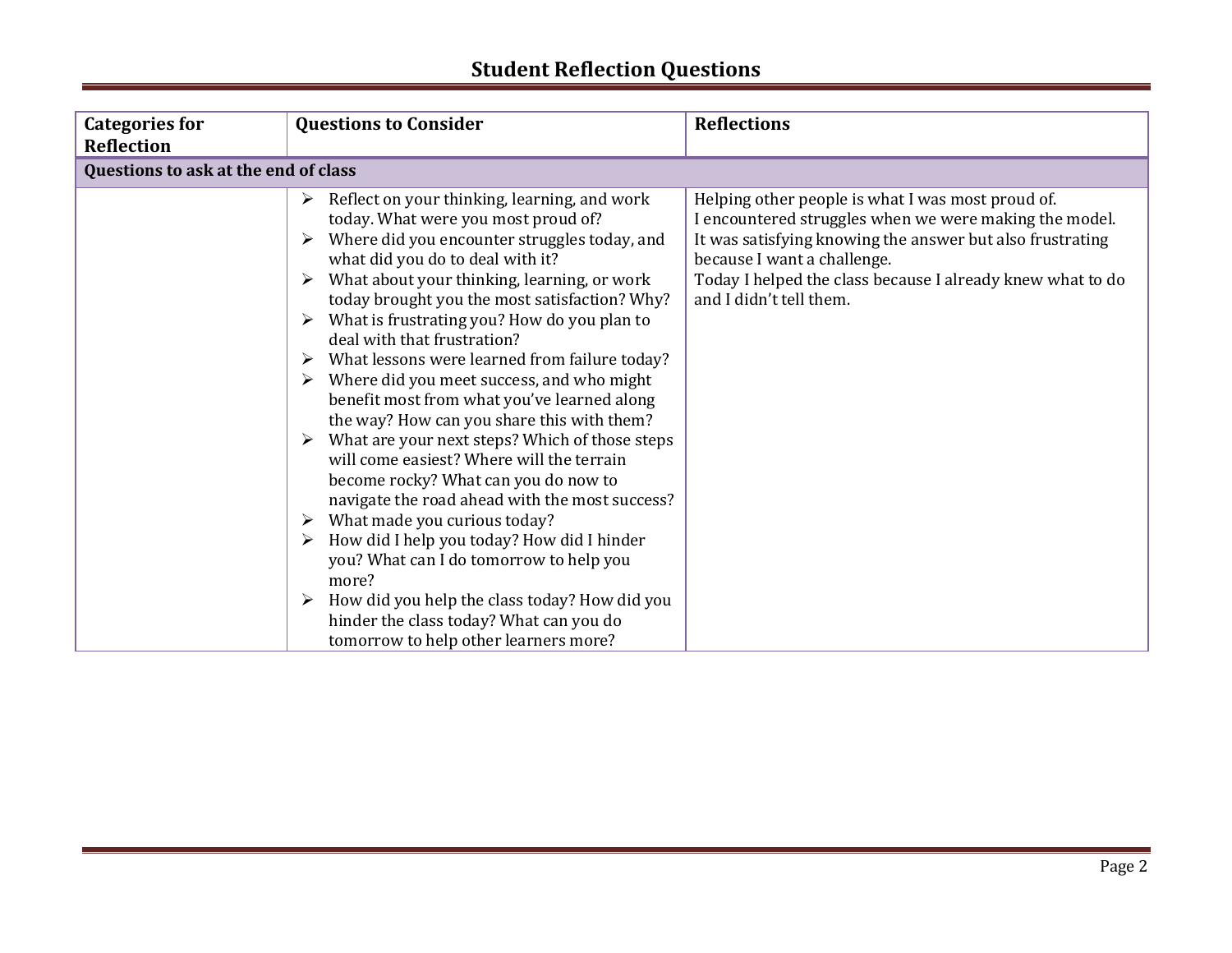| <b>Categories for</b>                | <b>Questions to Consider</b>                                                                                                                                                                                                                                                                                                                                                                                                                                                                                                                                                                                                                                                                                                                                                                                                                                                                                                                                                                                                                                                                                                             | <b>Reflections</b>                                                                                                                                                                                                                                                                               |  |  |
|--------------------------------------|------------------------------------------------------------------------------------------------------------------------------------------------------------------------------------------------------------------------------------------------------------------------------------------------------------------------------------------------------------------------------------------------------------------------------------------------------------------------------------------------------------------------------------------------------------------------------------------------------------------------------------------------------------------------------------------------------------------------------------------------------------------------------------------------------------------------------------------------------------------------------------------------------------------------------------------------------------------------------------------------------------------------------------------------------------------------------------------------------------------------------------------|--------------------------------------------------------------------------------------------------------------------------------------------------------------------------------------------------------------------------------------------------------------------------------------------------|--|--|
| <b>Reflection</b>                    |                                                                                                                                                                                                                                                                                                                                                                                                                                                                                                                                                                                                                                                                                                                                                                                                                                                                                                                                                                                                                                                                                                                                          |                                                                                                                                                                                                                                                                                                  |  |  |
| Questions to ask at the end of class |                                                                                                                                                                                                                                                                                                                                                                                                                                                                                                                                                                                                                                                                                                                                                                                                                                                                                                                                                                                                                                                                                                                                          |                                                                                                                                                                                                                                                                                                  |  |  |
|                                      | Reflect on your thinking, learning, and work<br>$\blacktriangleright$<br>today. What were you most proud of?<br>Where did you encounter struggles today, and<br>what did you do to deal with it?<br>What about your thinking, learning, or work<br>$\blacktriangleright$<br>today brought you the most satisfaction? Why?<br>What is frustrating you? How do you plan to<br>deal with that frustration?<br>What lessons were learned from failure today?<br>➤<br>Where did you meet success, and who might<br>$\blacktriangleright$<br>benefit most from what you've learned along<br>the way? How can you share this with them?<br>What are your next steps? Which of those steps<br>➤<br>will come easiest? Where will the terrain<br>become rocky? What can you do now to<br>navigate the road ahead with the most success?<br>What made you curious today?<br>➤<br>How did I help you today? How did I hinder<br>$\blacktriangleright$<br>you? What can I do tomorrow to help you<br>more?<br>How did you help the class today? How did you<br>➤<br>hinder the class today? What can you do<br>tomorrow to help other learners more? | Helping other people is what I was most proud of.<br>I encountered struggles when we were making the model.<br>It was satisfying knowing the answer but also frustrating<br>because I want a challenge.<br>Today I helped the class because I already knew what to do<br>and I didn't tell them. |  |  |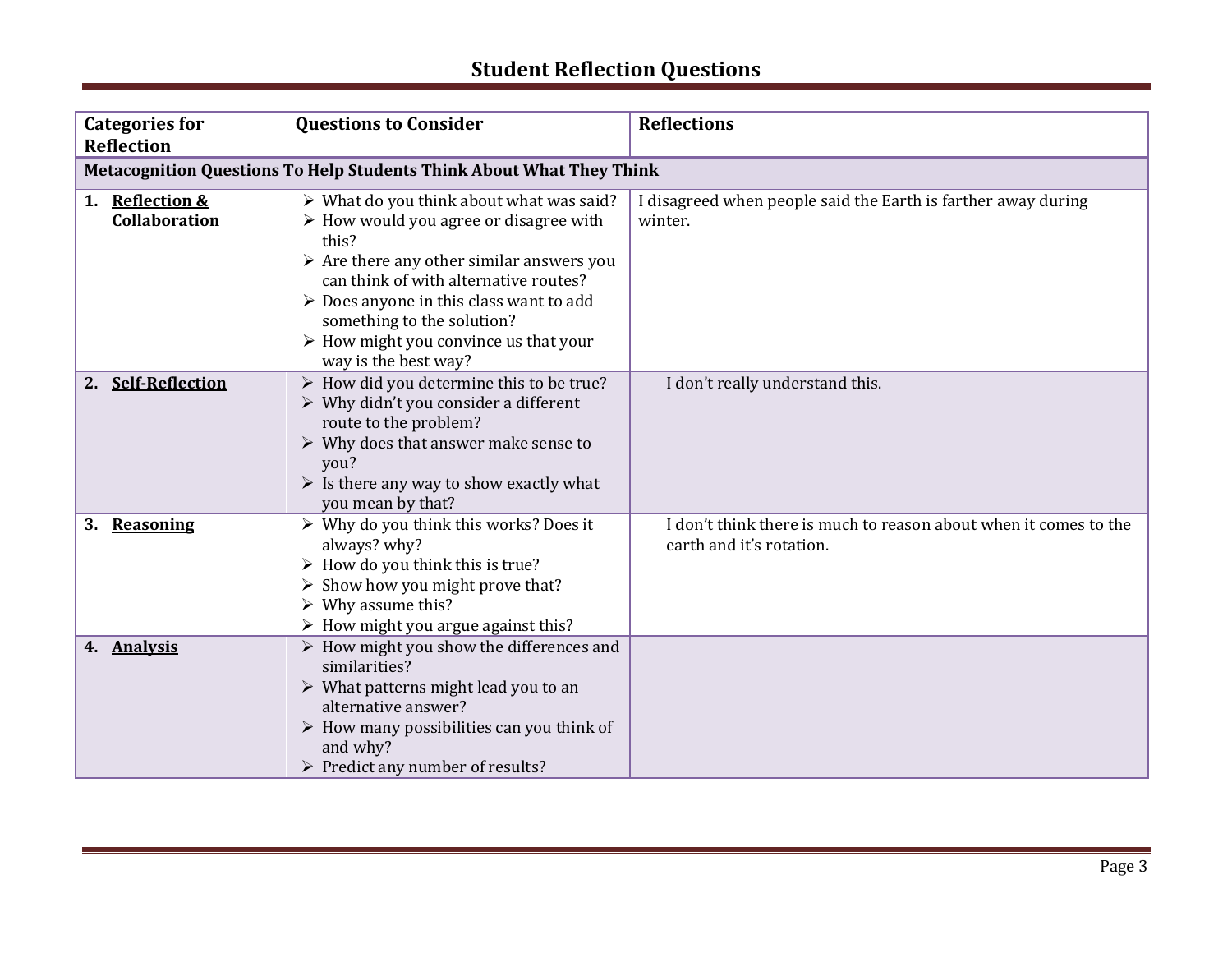| <b>Categories for</b><br><b>Reflection</b>                                  | <b>Questions to Consider</b>                                                                                                                                                                                                                                                                                                                                             | <b>Reflections</b>                                                                           |
|-----------------------------------------------------------------------------|--------------------------------------------------------------------------------------------------------------------------------------------------------------------------------------------------------------------------------------------------------------------------------------------------------------------------------------------------------------------------|----------------------------------------------------------------------------------------------|
| <b>Metacognition Questions To Help Students Think About What They Think</b> |                                                                                                                                                                                                                                                                                                                                                                          |                                                                                              |
| 1. Reflection &<br>Collaboration                                            | > What do you think about what was said?<br>$\triangleright$ How would you agree or disagree with<br>this?<br>$\triangleright$ Are there any other similar answers you<br>can think of with alternative routes?<br>▶ Does anyone in this class want to add<br>something to the solution?<br>$\triangleright$ How might you convince us that your<br>way is the best way? | I disagreed when people said the Earth is farther away during<br>winter.                     |
| 2. Self-Reflection                                                          | $\triangleright$ How did you determine this to be true?<br>$\triangleright$ Why didn't you consider a different<br>route to the problem?<br>$\triangleright$ Why does that answer make sense to<br>you?<br>$\triangleright$ Is there any way to show exactly what<br>you mean by that?                                                                                   | I don't really understand this.                                                              |
| 3.<br>Reasoning                                                             | $\triangleright$ Why do you think this works? Does it<br>always? why?<br>$\triangleright$ How do you think this is true?<br>$\triangleright$ Show how you might prove that?<br>$\triangleright$ Why assume this?<br>> How might you argue against this?                                                                                                                  | I don't think there is much to reason about when it comes to the<br>earth and it's rotation. |
| 4. Analysis                                                                 | $\triangleright$ How might you show the differences and<br>similarities?<br>$\triangleright$ What patterns might lead you to an<br>alternative answer?<br>$\triangleright$ How many possibilities can you think of<br>and why?<br>> Predict any number of results?                                                                                                       |                                                                                              |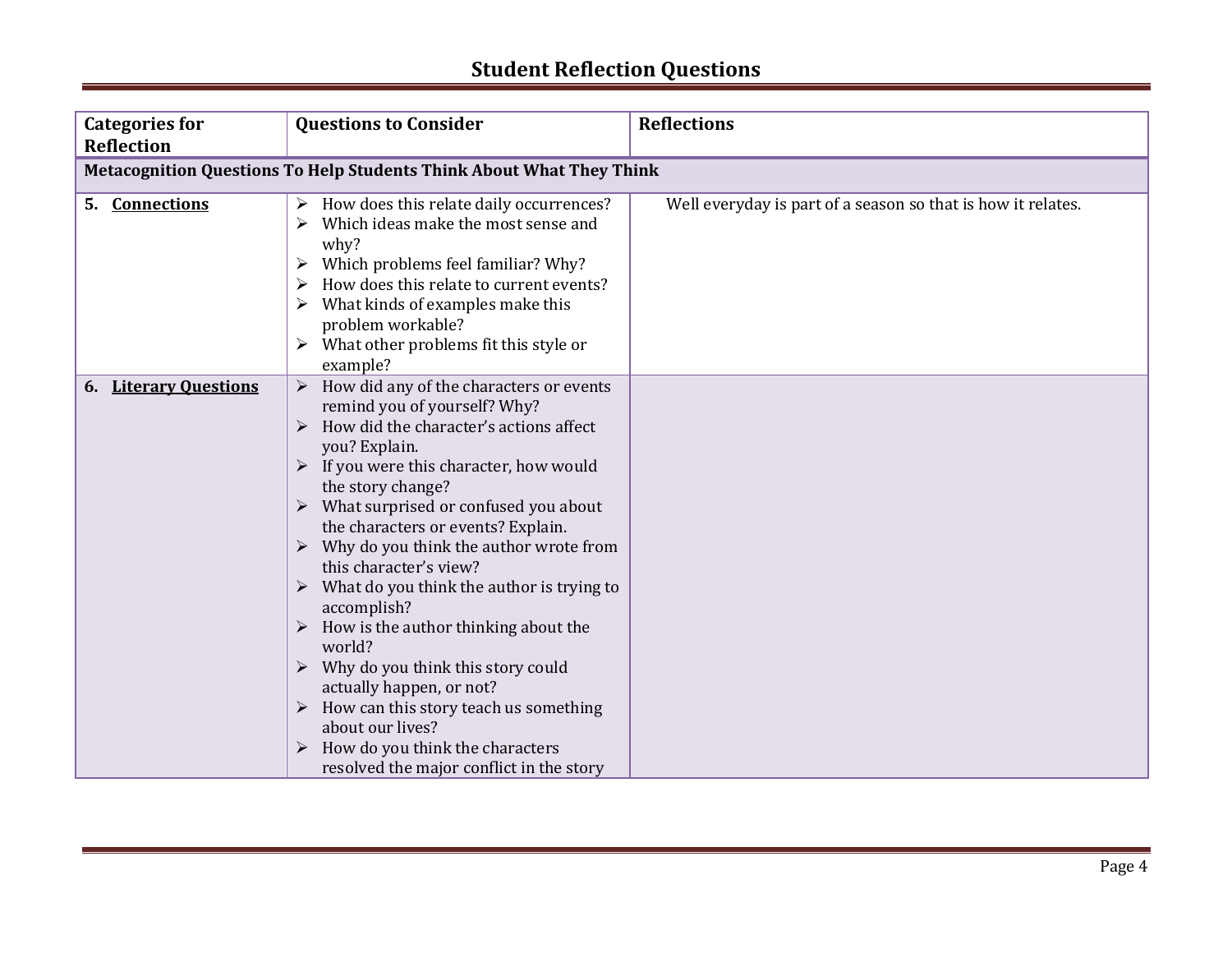| <b>Categories for</b>                                                       | <b>Questions to Consider</b>                                                                                                                                                                                                                                                                                                                                                                                                                                                                                                                                                                                                                                                                                                                                               | <b>Reflections</b>                                           |
|-----------------------------------------------------------------------------|----------------------------------------------------------------------------------------------------------------------------------------------------------------------------------------------------------------------------------------------------------------------------------------------------------------------------------------------------------------------------------------------------------------------------------------------------------------------------------------------------------------------------------------------------------------------------------------------------------------------------------------------------------------------------------------------------------------------------------------------------------------------------|--------------------------------------------------------------|
| <b>Reflection</b>                                                           |                                                                                                                                                                                                                                                                                                                                                                                                                                                                                                                                                                                                                                                                                                                                                                            |                                                              |
| <b>Metacognition Questions To Help Students Think About What They Think</b> |                                                                                                                                                                                                                                                                                                                                                                                                                                                                                                                                                                                                                                                                                                                                                                            |                                                              |
| 5. Connections                                                              | How does this relate daily occurrences?<br>Which ideas make the most sense and<br>why?<br>Which problems feel familiar? Why?<br>➤<br>How does this relate to current events?<br>What kinds of examples make this<br>problem workable?<br>$\triangleright$ What other problems fit this style or<br>example?                                                                                                                                                                                                                                                                                                                                                                                                                                                                | Well everyday is part of a season so that is how it relates. |
| <b>Literary Ouestions</b><br>6.                                             | How did any of the characters or events<br>remind you of yourself? Why?<br>How did the character's actions affect<br>$\blacktriangleright$<br>you? Explain.<br>$\triangleright$ If you were this character, how would<br>the story change?<br>$\triangleright$ What surprised or confused you about<br>the characters or events? Explain.<br>Why do you think the author wrote from<br>this character's view?<br>What do you think the author is trying to<br>accomplish?<br>$\triangleright$ How is the author thinking about the<br>world?<br>$\triangleright$ Why do you think this story could<br>actually happen, or not?<br>How can this story teach us something<br>about our lives?<br>How do you think the characters<br>resolved the major conflict in the story |                                                              |